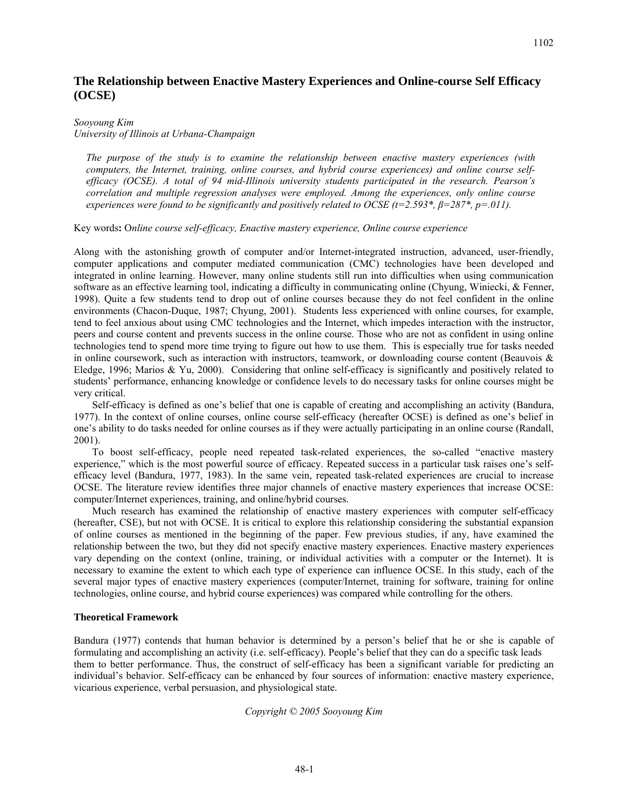# **The Relationship between Enactive Mastery Experiences and Online-course Self Efficacy (OCSE)**

### *Sooyoung Kim*

*University of Illinois at Urbana-Champaign* 

*The purpose of the study is to examine the relationship between enactive mastery experiences (with computers, the Internet, training, online courses, and hybrid course experiences) and online course selfefficacy (OCSE). A total of 94 mid-Illinois university students participated in the research. Pearson's correlation and multiple regression analyses were employed. Among the experiences, only online course experiences were found to be significantly and positively related to OCSE (t=2.593\*,*  $\beta$ *=287\*, p=.011).* 

Key words**:** O*nline course self-efficacy, Enactive mastery experience, Online course experience*

Along with the astonishing growth of computer and/or Internet-integrated instruction, advanced, user-friendly, computer applications and computer mediated communication (CMC) technologies have been developed and integrated in online learning. However, many online students still run into difficulties when using communication software as an effective learning tool, indicating a difficulty in communicating online (Chyung, Winiecki, & Fenner, 1998). Quite a few students tend to drop out of online courses because they do not feel confident in the online environments (Chacon-Duque, 1987; Chyung, 2001). Students less experienced with online courses, for example, tend to feel anxious about using CMC technologies and the Internet, which impedes interaction with the instructor, peers and course content and prevents success in the online course. Those who are not as confident in using online technologies tend to spend more time trying to figure out how to use them. This is especially true for tasks needed in online coursework, such as interaction with instructors, teamwork, or downloading course content (Beauvois  $\&$ Eledge, 1996; Marios & Yu, 2000). Considering that online self-efficacy is significantly and positively related to students' performance, enhancing knowledge or confidence levels to do necessary tasks for online courses might be very critical.

Self-efficacy is defined as one's belief that one is capable of creating and accomplishing an activity (Bandura, 1977). In the context of online courses, online course self-efficacy (hereafter OCSE) is defined as one's belief in one's ability to do tasks needed for online courses as if they were actually participating in an online course (Randall, 2001).

To boost self-efficacy, people need repeated task-related experiences, the so-called "enactive mastery experience," which is the most powerful source of efficacy. Repeated success in a particular task raises one's selfefficacy level (Bandura, 1977, 1983). In the same vein, repeated task-related experiences are crucial to increase OCSE. The literature review identifies three major channels of enactive mastery experiences that increase OCSE: computer/Internet experiences, training, and online/hybrid courses.

Much research has examined the relationship of enactive mastery experiences with computer self-efficacy (hereafter, CSE), but not with OCSE. It is critical to explore this relationship considering the substantial expansion of online courses as mentioned in the beginning of the paper. Few previous studies, if any, have examined the relationship between the two, but they did not specify enactive mastery experiences. Enactive mastery experiences vary depending on the context (online, training, or individual activities with a computer or the Internet). It is necessary to examine the extent to which each type of experience can influence OCSE. In this study, each of the several major types of enactive mastery experiences (computer/Internet, training for software, training for online technologies, online course, and hybrid course experiences) was compared while controlling for the others.

### **Theoretical Framework**

Bandura (1977) contends that human behavior is determined by a person's belief that he or she is capable of formulating and accomplishing an activity (i.e. self-efficacy). People's belief that they can do a specific task leads them to better performance. Thus, the construct of self-efficacy has been a significant variable for predicting an individual's behavior. Self-efficacy can be enhanced by four sources of information: enactive mastery experience, vicarious experience, verbal persuasion, and physiological state.

## *Copyright © 2005 Sooyoung Kim*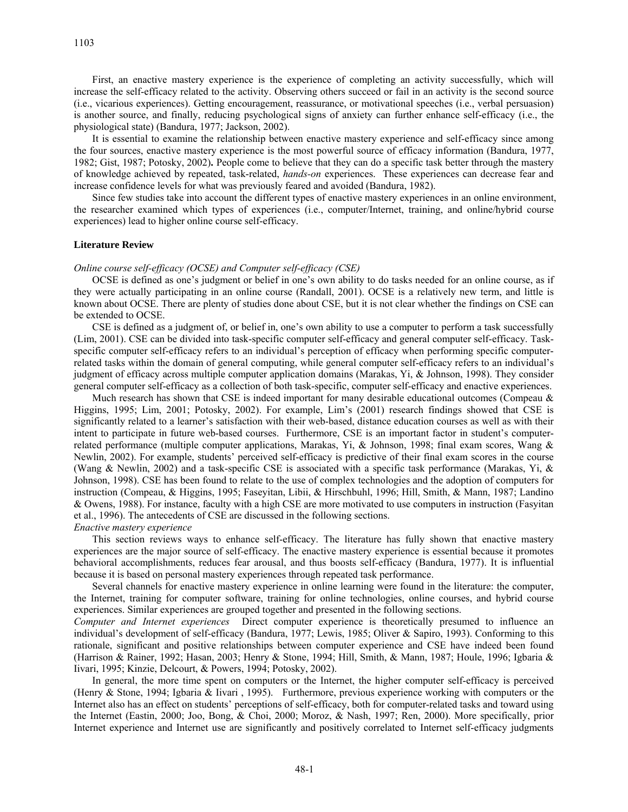First, an enactive mastery experience is the experience of completing an activity successfully, which will increase the self-efficacy related to the activity. Observing others succeed or fail in an activity is the second source (i.e., vicarious experiences). Getting encouragement, reassurance, or motivational speeches (i.e., verbal persuasion) is another source, and finally, reducing psychological signs of anxiety can further enhance self-efficacy (i.e., the physiological state) (Bandura, 1977; Jackson, 2002).

It is essential to examine the relationship between enactive mastery experience and self-efficacy since among the four sources, enactive mastery experience is the most powerful source of efficacy information (Bandura, 1977, 1982; Gist, 1987; Potosky, 2002)**.** People come to believe that they can do a specific task better through the mastery of knowledge achieved by repeated, task-related, *hands-on* experiences. These experiences can decrease fear and increase confidence levels for what was previously feared and avoided (Bandura, 1982).

Since few studies take into account the different types of enactive mastery experiences in an online environment, the researcher examined which types of experiences (i.e., computer/Internet, training, and online/hybrid course experiences) lead to higher online course self-efficacy.

#### **Literature Review**

#### *Online course self-efficacy (OCSE) and Computer self-efficacy (CSE)*

OCSE is defined as one's judgment or belief in one's own ability to do tasks needed for an online course, as if they were actually participating in an online course (Randall, 2001). OCSE is a relatively new term, and little is known about OCSE. There are plenty of studies done about CSE, but it is not clear whether the findings on CSE can be extended to OCSE.

CSE is defined as a judgment of, or belief in, one's own ability to use a computer to perform a task successfully (Lim, 2001). CSE can be divided into task-specific computer self-efficacy and general computer self-efficacy. Taskspecific computer self-efficacy refers to an individual's perception of efficacy when performing specific computerrelated tasks within the domain of general computing, while general computer self-efficacy refers to an individual's judgment of efficacy across multiple computer application domains (Marakas, Yi, & Johnson, 1998). They consider general computer self-efficacy as a collection of both task-specific, computer self-efficacy and enactive experiences.

Much research has shown that CSE is indeed important for many desirable educational outcomes (Compeau  $\&$ Higgins, 1995; Lim, 2001; Potosky, 2002). For example, Lim's (2001) research findings showed that CSE is significantly related to a learner's satisfaction with their web-based, distance education courses as well as with their intent to participate in future web-based courses. Furthermore, CSE is an important factor in student's computerrelated performance (multiple computer applications, Marakas, Yi, & Johnson, 1998; final exam scores, Wang & Newlin, 2002). For example, students' perceived self-efficacy is predictive of their final exam scores in the course (Wang & Newlin, 2002) and a task-specific CSE is associated with a specific task performance (Marakas, Yi, & Johnson, 1998). CSE has been found to relate to the use of complex technologies and the adoption of computers for instruction (Compeau, & Higgins, 1995; Faseyitan, Libii, & Hirschbuhl, 1996; Hill, Smith, & Mann, 1987; Landino & Owens, 1988). For instance, faculty with a high CSE are more motivated to use computers in instruction (Fasyitan et al., 1996). The antecedents of CSE are discussed in the following sections.

#### *Enactive mastery experience*

This section reviews ways to enhance self-efficacy. The literature has fully shown that enactive mastery experiences are the major source of self-efficacy. The enactive mastery experience is essential because it promotes behavioral accomplishments, reduces fear arousal, and thus boosts self-efficacy (Bandura, 1977). It is influential because it is based on personal mastery experiences through repeated task performance.

Several channels for enactive mastery experience in online learning were found in the literature: the computer, the Internet, training for computer software, training for online technologies, online courses, and hybrid course experiences. Similar experiences are grouped together and presented in the following sections.

*Computer and Internet experiences* Direct computer experience is theoretically presumed to influence an individual's development of self-efficacy (Bandura, 1977; Lewis, 1985; Oliver & Sapiro, 1993). Conforming to this rationale, significant and positive relationships between computer experience and CSE have indeed been found (Harrison & Rainer, 1992; Hasan, 2003; Henry & Stone, 1994; Hill, Smith, & Mann, 1987; Houle, 1996; Igbaria & Iivari, 1995; Kinzie, Delcourt, & Powers, 1994; Potosky, 2002).

In general, the more time spent on computers or the Internet, the higher computer self-efficacy is perceived (Henry & Stone, 1994; Igbaria & Iivari , 1995). Furthermore, previous experience working with computers or the Internet also has an effect on students' perceptions of self-efficacy, both for computer-related tasks and toward using the Internet (Eastin, 2000; Joo, Bong, & Choi, 2000; Moroz, & Nash, 1997; Ren, 2000). More specifically, prior Internet experience and Internet use are significantly and positively correlated to Internet self-efficacy judgments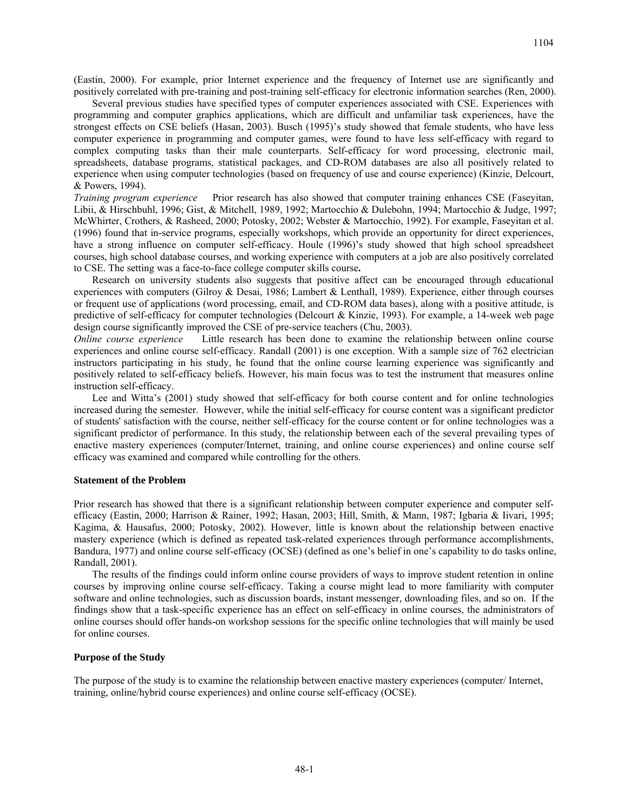1104

(Eastin, 2000). For example, prior Internet experience and the frequency of Internet use are significantly and positively correlated with pre-training and post-training self-efficacy for electronic information searches (Ren, 2000).

Several previous studies have specified types of computer experiences associated with CSE. Experiences with programming and computer graphics applications, which are difficult and unfamiliar task experiences, have the strongest effects on CSE beliefs (Hasan, 2003). Busch (1995)'s study showed that female students, who have less computer experience in programming and computer games, were found to have less self-efficacy with regard to complex computing tasks than their male counterparts. Self-efficacy for word processing, electronic mail, spreadsheets, database programs, statistical packages, and CD-ROM databases are also all positively related to experience when using computer technologies (based on frequency of use and course experience) (Kinzie, Delcourt, & Powers, 1994).

*Training program experience* Prior research has also showed that computer training enhances CSE (Faseyitan, Libii, & Hirschbuhl, 1996; Gist, & Mitchell, 1989, 1992; Martocchio & Dulebohn, 1994; Martocchio & Judge, 1997; McWhirter, Crothers, & Rasheed, 2000; Potosky, 2002; Webster & Martocchio, 1992). For example, Faseyitan et al. (1996) found that in-service programs, especially workshops, which provide an opportunity for direct experiences, have a strong influence on computer self-efficacy. Houle (1996)'s study showed that high school spreadsheet courses, high school database courses, and working experience with computers at a job are also positively correlated to CSE. The setting was a face-to-face college computer skills course**.** 

Research on university students also suggests that positive affect can be encouraged through educational experiences with computers (Gilroy & Desai, 1986; Lambert & Lenthall, 1989). Experience, either through courses or frequent use of applications (word processing, email, and CD-ROM data bases), along with a positive attitude, is predictive of self-efficacy for computer technologies (Delcourt & Kinzie, 1993). For example, a 14-week web page design course significantly improved the CSE of pre-service teachers (Chu, 2003).

*Online course experience* Little research has been done to examine the relationship between online course experiences and online course self-efficacy. Randall (2001) is one exception. With a sample size of 762 electrician instructors participating in his study, he found that the online course learning experience was significantly and positively related to self-efficacy beliefs. However, his main focus was to test the instrument that measures online instruction self-efficacy.

Lee and Witta's (2001) study showed that self-efficacy for both course content and for online technologies increased during the semester. However, while the initial self-efficacy for course content was a significant predictor of students' satisfaction with the course, neither self-efficacy for the course content or for online technologies was a significant predictor of performance. In this study, the relationship between each of the several prevailing types of enactive mastery experiences (computer/Internet, training, and online course experiences) and online course self efficacy was examined and compared while controlling for the others.

## **Statement of the Problem**

Prior research has showed that there is a significant relationship between computer experience and computer selfefficacy (Eastin, 2000; Harrison & Rainer, 1992; Hasan, 2003; Hill, Smith, & Mann, 1987; Igbaria & Iivari, 1995; Kagima, & Hausafus, 2000; Potosky, 2002). However, little is known about the relationship between enactive mastery experience (which is defined as repeated task-related experiences through performance accomplishments, Bandura, 1977) and online course self-efficacy (OCSE) (defined as one's belief in one's capability to do tasks online, Randall, 2001).

The results of the findings could inform online course providers of ways to improve student retention in online courses by improving online course self-efficacy. Taking a course might lead to more familiarity with computer software and online technologies, such as discussion boards, instant messenger, downloading files, and so on. If the findings show that a task-specific experience has an effect on self-efficacy in online courses, the administrators of online courses should offer hands-on workshop sessions for the specific online technologies that will mainly be used for online courses.

### **Purpose of the Study**

The purpose of the study is to examine the relationship between enactive mastery experiences (computer/ Internet, training, online/hybrid course experiences) and online course self-efficacy (OCSE).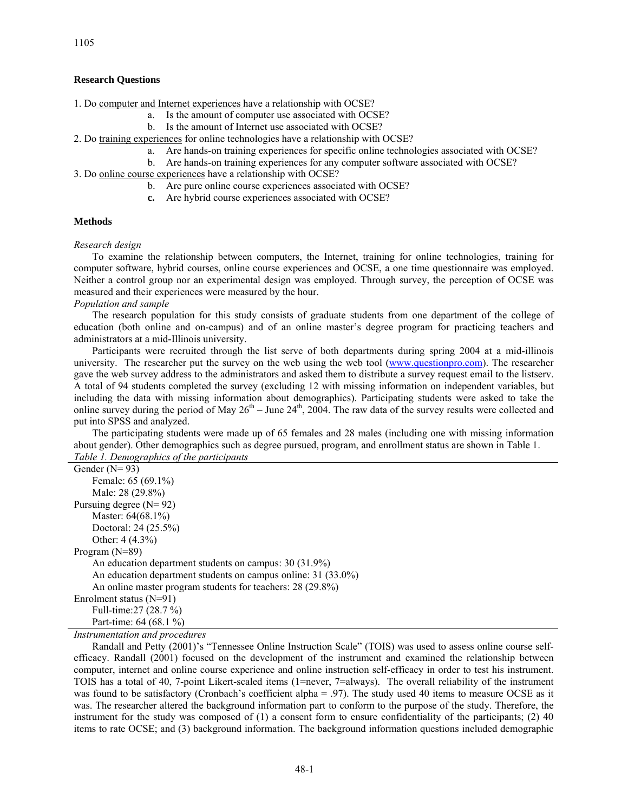## **Research Questions**

1. Do computer and Internet experiences have a relationship with OCSE?

- a. Is the amount of computer use associated with OCSE?
- b. Is the amount of Internet use associated with OCSE?
- 2. Do training experiences for online technologies have a relationship with OCSE?
	- a. Are hands-on training experiences for specific online technologies associated with OCSE?
	- b. Are hands-on training experiences for any computer software associated with OCSE?
- 3. Do online course experiences have a relationship with OCSE?
	- b. Are pure online course experiences associated with OCSE?
	- **c.** Are hybrid course experiences associated with OCSE?

## **Methods**

*Research design* 

To examine the relationship between computers, the Internet, training for online technologies, training for computer software, hybrid courses, online course experiences and OCSE, a one time questionnaire was employed. Neither a control group nor an experimental design was employed. Through survey, the perception of OCSE was measured and their experiences were measured by the hour.

*Population and sample* 

The research population for this study consists of graduate students from one department of the college of education (both online and on-campus) and of an online master's degree program for practicing teachers and administrators at a mid-Illinois university.

Participants were recruited through the list serve of both departments during spring 2004 at a mid-illinois university. The researcher put the survey on the web using the web tool ([www.questionpro.com\)](http://www.questionpro.com/). The researcher gave the web survey address to the administrators and asked them to distribute a survey request email to the listserv. A total of 94 students completed the survey (excluding 12 with missing information on independent variables, but including the data with missing information about demographics). Participating students were asked to take the online survey during the period of May  $26<sup>th</sup> -$  June  $24<sup>th</sup>$ , 2004. The raw data of the survey results were collected and put into SPSS and analyzed.

The participating students were made up of 65 females and 28 males (including one with missing information about gender). Other demographics such as degree pursued, program, and enrollment status are shown in Table 1. *Table 1. Demographics of the participants* 

| Tuble 1. Demographics of the participants                     |
|---------------------------------------------------------------|
| Gender $(N=93)$                                               |
| Female: 65 (69.1%)                                            |
| Male: 28 (29.8%)                                              |
| Pursuing degree $(N=92)$                                      |
| Master: 64(68.1%)                                             |
| Doctoral: 24 (25.5%)                                          |
| Other: $4(4.3\%)$                                             |
| Program $(N=89)$                                              |
| An education department students on campus: 30 (31.9%)        |
| An education department students on campus online: 31 (33.0%) |
| An online master program students for teachers: 28 (29.8%)    |
| Enrolment status $(N=91)$                                     |
| Full-time: 27 (28.7 %)                                        |
| Part-time: 64 (68.1 %)                                        |

*Instrumentation and procedures* 

Randall and Petty (2001)'s "Tennessee Online Instruction Scale" (TOIS) was used to assess online course selfefficacy. Randall (2001) focused on the development of the instrument and examined the relationship between computer, internet and online course experience and online instruction self-efficacy in order to test his instrument. TOIS has a total of 40, 7-point Likert-scaled items (1=never, 7=always). The overall reliability of the instrument was found to be satisfactory (Cronbach's coefficient alpha = .97). The study used 40 items to measure OCSE as it was. The researcher altered the background information part to conform to the purpose of the study. Therefore, the instrument for the study was composed of (1) a consent form to ensure confidentiality of the participants; (2) 40 items to rate OCSE; and (3) background information. The background information questions included demographic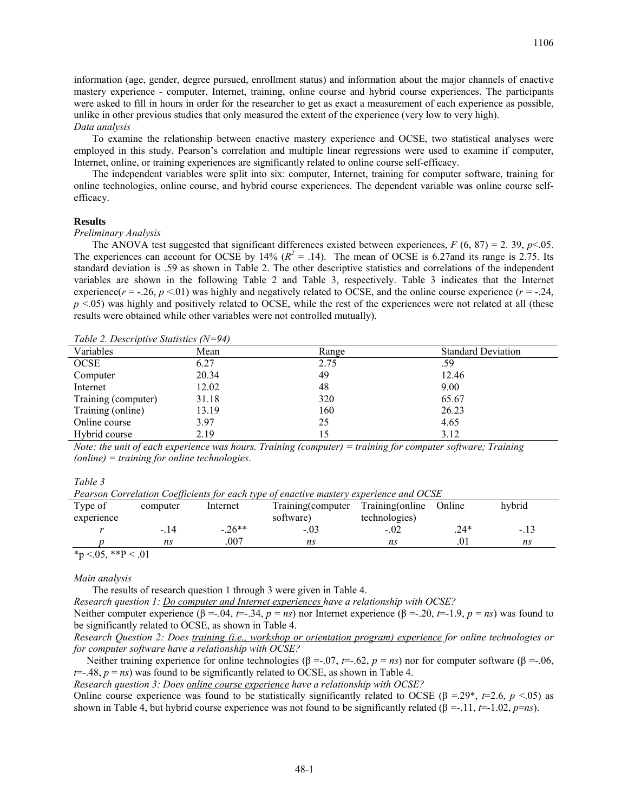information (age, gender, degree pursued, enrollment status) and information about the major channels of enactive mastery experience - computer, Internet, training, online course and hybrid course experiences. The participants were asked to fill in hours in order for the researcher to get as exact a measurement of each experience as possible, unlike in other previous studies that only measured the extent of the experience (very low to very high). *Data analysis* 

To examine the relationship between enactive mastery experience and OCSE, two statistical analyses were employed in this study. Pearson's correlation and multiple linear regressions were used to examine if computer, Internet, online, or training experiences are significantly related to online course self-efficacy.

The independent variables were split into six: computer, Internet, training for computer software, training for online technologies, online course, and hybrid course experiences. The dependent variable was online course selfefficacy.

### **Results**

#### *Preliminary Analysis*

The ANOVA test suggested that significant differences existed between experiences,  $F$  (6, 87) = 2. 39, *p*<.05. The experiences can account for OCSE by 14%  $(R^2 = .14)$ . The mean of OCSE is 6.27and its range is 2.75. Its standard deviation is .59 as shown in Table 2. The other descriptive statistics and correlations of the independent variables are shown in the following Table 2 and Table 3, respectively. Table 3 indicates that the Internet experience( $r = -26$ ,  $p < 01$ ) was highly and negatively related to OCSE, and the online course experience ( $r = -24$ , *p* <.05) was highly and positively related to OCSE, while the rest of the experiences were not related at all (these results were obtained while other variables were not controlled mutually).

*Table 2. Descriptive Statistics (N=94)* 

| Variables           | Mean  | Range | <b>Standard Deviation</b> |
|---------------------|-------|-------|---------------------------|
| OCSE                | 6.27  | 2.75  | .59                       |
| Computer            | 20.34 | 49    | 12.46                     |
| Internet            | 12.02 | 48    | 9.00                      |
| Training (computer) | 31.18 | 320   | 65.67                     |
| Training (online)   | 13.19 | 160   | 26.23                     |
| Online course       | 3.97  | 25    | 4.65                      |
| Hybrid course       | 2.19  | .5    | 3.12                      |

*Note: the unit of each experience was hours. Training (computer) = training for computer software; Training (online) = training for online technologies*.

*Table 3* 

*Pearson Correlation Coefficients for each type of enactive mastery experience and OCSE* 

| Type of<br>experience                                                                                                | computer | Internet  | Training (computer<br>software) | Training(online)<br>technologies) | Online | hybrid |
|----------------------------------------------------------------------------------------------------------------------|----------|-----------|---------------------------------|-----------------------------------|--------|--------|
|                                                                                                                      | -. 14    | $-0.26**$ | $-.03$                          | $-.02$                            | $.24*$ | -.13   |
|                                                                                                                      | ns       | .007      | ns                              | ns                                |        | ns     |
| $\mathbf{a}$ $\mathbf{b}$ $\mathbf{c}$ $\mathbf{d}$ $\mathbf{c}$ $\mathbf{d}$ $\mathbf{c}$ $\mathbf{d}$ $\mathbf{d}$ |          |           |                                 |                                   |        |        |

 $*p < 0.05, **P < 0.01$ 

#### *Main analysis*

The results of research question 1 through 3 were given in Table 4.

*Research question 1: Do computer and Internet experiences have a relationship with OCSE?* 

Neither computer experience  $(\beta = -.04, t = -.34, p = ns)$  nor Internet experience  $(\beta = -.20, t = -1.9, p = ns)$  was found to be significantly related to OCSE, as shown in Table 4.

*Research Question 2: Does training (i.e., workshop or orientation program) experience for online technologies or for computer software have a relationship with OCSE?*

Neither training experience for online technologies (β = -.07, *t*=-.62, *p* = *ns*) nor for computer software (β = -.06,  $t=-.48$ ,  $p = ns$ ) was found to be significantly related to OCSE, as shown in Table 4.

*Research question 3: Does online course experience have a relationship with OCSE?*

Online course experience was found to be statistically significantly related to OCSE (β =.29<sup>\*</sup>, *t*=2.6, *p* <.05) as shown in Table 4, but hybrid course experience was not found to be significantly related ( $\beta = -11$ ,  $t = -1.02$ ,  $p=ns$ ).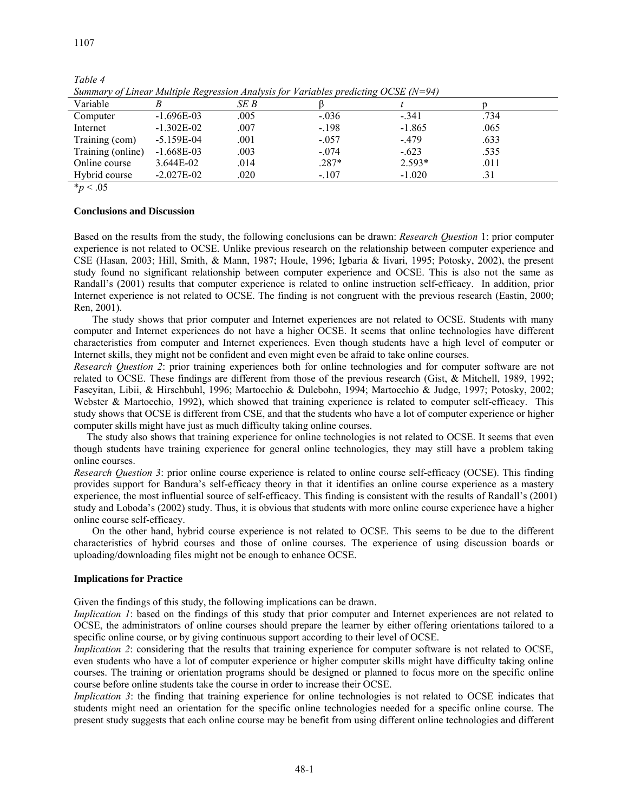| Variable          |                | SE B |         |          |      |  |
|-------------------|----------------|------|---------|----------|------|--|
| Computer          | $-1.696E-03$   | .005 | $-.036$ | $-.341$  | .734 |  |
| Internet          | $-1.302E - 02$ | .007 | $-.198$ | $-1.865$ | .065 |  |
| Training (com)    | $-5.159E-04$   | .001 | $-.057$ | $-.479$  | .633 |  |
| Training (online) | $-1.668E-03$   | .003 | $-.074$ | $-.623$  | .535 |  |
| Online course     | 3.644E-02      | .014 | $.287*$ | $2.593*$ | .011 |  |
| Hybrid course     | $-2.027E - 02$ | .020 | $-.107$ | $-1.020$ | .31  |  |
| $*_p$ < .05       |                |      |         |          |      |  |

*Table 4 Summary of Linear Multiple Regression Analysis for Variables predicting OCSE (N=94)* 

**Conclusions and Discussion** 

Based on the results from the study, the following conclusions can be drawn: *Research Question* 1: prior computer experience is not related to OCSE. Unlike previous research on the relationship between computer experience and CSE (Hasan, 2003; Hill, Smith, & Mann, 1987; Houle, 1996; Igbaria & Iivari, 1995; Potosky, 2002), the present study found no significant relationship between computer experience and OCSE. This is also not the same as Randall's (2001) results that computer experience is related to online instruction self-efficacy. In addition, prior Internet experience is not related to OCSE. The finding is not congruent with the previous research (Eastin, 2000; Ren, 2001).

The study shows that prior computer and Internet experiences are not related to OCSE. Students with many computer and Internet experiences do not have a higher OCSE. It seems that online technologies have different characteristics from computer and Internet experiences. Even though students have a high level of computer or Internet skills, they might not be confident and even might even be afraid to take online courses.

*Research Question 2*: prior training experiences both for online technologies and for computer software are not related to OCSE. These findings are different from those of the previous research (Gist, & Mitchell, 1989, 1992; Faseyitan, Libii, & Hirschbuhl, 1996; Martocchio & Dulebohn, 1994; Martocchio & Judge, 1997; Potosky, 2002; Webster & Martocchio, 1992), which showed that training experience is related to computer self-efficacy. This study shows that OCSE is different from CSE, and that the students who have a lot of computer experience or higher computer skills might have just as much difficulty taking online courses.

 The study also shows that training experience for online technologies is not related to OCSE. It seems that even though students have training experience for general online technologies, they may still have a problem taking online courses.

*Research Question 3*: prior online course experience is related to online course self-efficacy (OCSE). This finding provides support for Bandura's self-efficacy theory in that it identifies an online course experience as a mastery experience, the most influential source of self-efficacy. This finding is consistent with the results of Randall's (2001) study and Loboda's (2002) study. Thus, it is obvious that students with more online course experience have a higher online course self-efficacy.

On the other hand, hybrid course experience is not related to OCSE. This seems to be due to the different characteristics of hybrid courses and those of online courses. The experience of using discussion boards or uploading/downloading files might not be enough to enhance OCSE.

## **Implications for Practice**

Given the findings of this study, the following implications can be drawn.

*Implication 1*: based on the findings of this study that prior computer and Internet experiences are not related to OCSE, the administrators of online courses should prepare the learner by either offering orientations tailored to a specific online course, or by giving continuous support according to their level of OCSE.

*Implication 2*: considering that the results that training experience for computer software is not related to OCSE, even students who have a lot of computer experience or higher computer skills might have difficulty taking online courses. The training or orientation programs should be designed or planned to focus more on the specific online course before online students take the course in order to increase their OCSE.

*Implication 3*: the finding that training experience for online technologies is not related to OCSE indicates that students might need an orientation for the specific online technologies needed for a specific online course. The present study suggests that each online course may be benefit from using different online technologies and different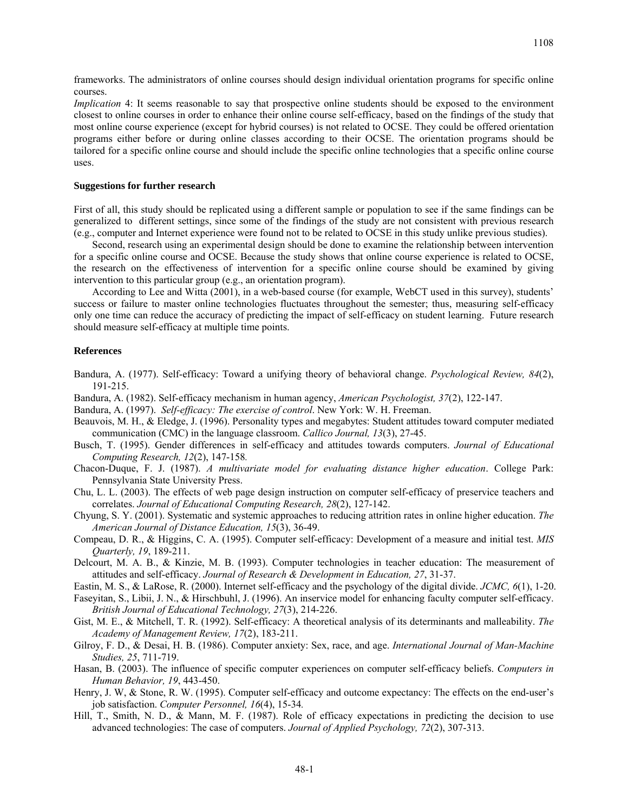1108

frameworks. The administrators of online courses should design individual orientation programs for specific online courses.

*Implication* 4: It seems reasonable to say that prospective online students should be exposed to the environment closest to online courses in order to enhance their online course self-efficacy, based on the findings of the study that most online course experience (except for hybrid courses) is not related to OCSE. They could be offered orientation programs either before or during online classes according to their OCSE. The orientation programs should be tailored for a specific online course and should include the specific online technologies that a specific online course uses.

### **Suggestions for further research**

First of all, this study should be replicated using a different sample or population to see if the same findings can be generalized to different settings, since some of the findings of the study are not consistent with previous research (e.g., computer and Internet experience were found not to be related to OCSE in this study unlike previous studies).

Second, research using an experimental design should be done to examine the relationship between intervention for a specific online course and OCSE. Because the study shows that online course experience is related to OCSE, the research on the effectiveness of intervention for a specific online course should be examined by giving intervention to this particular group (e.g., an orientation program).

According to Lee and Witta (2001), in a web-based course (for example, WebCT used in this survey), students' success or failure to master online technologies fluctuates throughout the semester; thus, measuring self-efficacy only one time can reduce the accuracy of predicting the impact of self-efficacy on student learning. Future research should measure self-efficacy at multiple time points.

## **References**

- Bandura, A. (1977). Self-efficacy: Toward a unifying theory of behavioral change. *Psychological Review, 84*(2), 191-215.
- Bandura, A. (1982). Self-efficacy mechanism in human agency, *American Psychologist, 37*(2), 122-147.
- Bandura, A. (1997). *Self-efficacy: The exercise of control*. New York: W. H. Freeman.
- Beauvois, M. H., & Eledge, J. (1996). Personality types and megabytes: Student attitudes toward computer mediated communication (CMC) in the language classroom. *Callico Journal, 13*(3), 27-45.
- Busch, T. (1995). Gender differences in self-efficacy and attitudes towards computers. *Journal of Educational Computing Research, 12*(2), 147-158*.*
- Chacon-Duque, F. J. (1987). *A multivariate model for evaluating distance higher education*. College Park: Pennsylvania State University Press.
- Chu, L. L. (2003). The effects of web page design instruction on computer self-efficacy of preservice teachers and correlates. *Journal of Educational Computing Research, 28*(2), 127-142.
- Chyung, S. Y. (2001). Systematic and systemic approaches to reducing attrition rates in online higher education. *The American Journal of Distance Education, 15*(3), 36-49.
- Compeau, D. R., & Higgins, C. A. (1995). Computer self-efficacy: Development of a measure and initial test. *MIS Quarterly, 19*, 189-211.
- Delcourt, M. A. B., & Kinzie, M. B. (1993). Computer technologies in teacher education: The measurement of attitudes and self-efficacy. *Journal of Research & Development in Education, 27*, 31-37.
- Eastin, M. S., & LaRose, R. (2000). Internet self-efficacy and the psychology of the digital divide. *JCMC, 6*(1), 1-20.
- Faseyitan, S., Libii, J. N., & Hirschbuhl, J. (1996). An inservice model for enhancing faculty computer self-efficacy. *British Journal of Educational Technology, 27*(3), 214-226.
- Gist, M. E., & Mitchell, T. R. (1992). Self-efficacy: A theoretical analysis of its determinants and malleability. *The Academy of Management Review, 17*(2), 183-211.
- Gilroy, F. D., & Desai, H. B. (1986). Computer anxiety: Sex, race, and age. *International Journal of Man-Machine Studies, 25*, 711-719.
- Hasan, B. (2003). The influence of specific computer experiences on computer self-efficacy beliefs. *Computers in Human Behavior, 19*, 443-450.
- Henry, J. W, & Stone, R. W. (1995). Computer self-efficacy and outcome expectancy: The effects on the end-user's job satisfaction. *Computer Personnel, 16*(4), 15-34*.*
- Hill, T., Smith, N. D., & Mann, M. F. (1987). Role of efficacy expectations in predicting the decision to use advanced technologies: The case of computers. *Journal of Applied Psychology, 72*(2), 307-313.